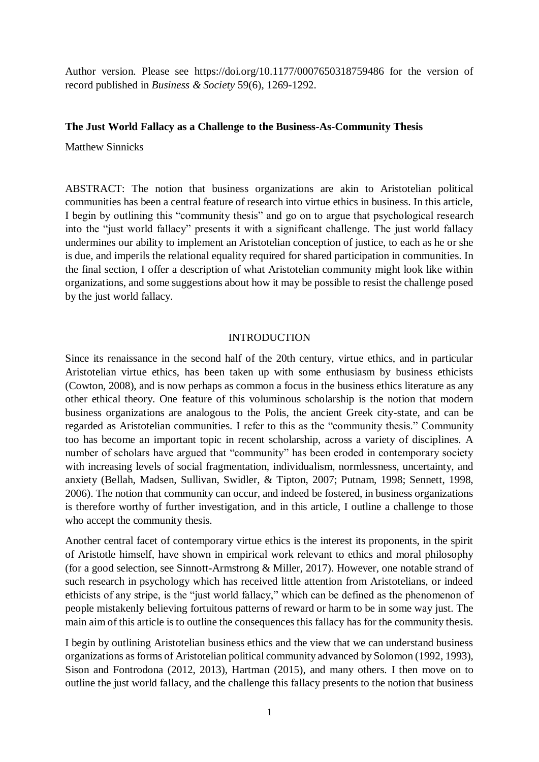Author version. Please see https://doi.org/10.1177/0007650318759486 for the version of record published in *Business & Society* 59(6), 1269-1292.

## **The Just World Fallacy as a Challenge to the Business-As-Community Thesis**

Matthew Sinnicks

ABSTRACT: The notion that business organizations are akin to Aristotelian political communities has been a central feature of research into virtue ethics in business. In this article, I begin by outlining this "community thesis" and go on to argue that psychological research into the "just world fallacy" presents it with a significant challenge. The just world fallacy undermines our ability to implement an Aristotelian conception of justice, to each as he or she is due, and imperils the relational equality required for shared participation in communities. In the final section, I offer a description of what Aristotelian community might look like within organizations, and some suggestions about how it may be possible to resist the challenge posed by the just world fallacy.

## INTRODUCTION

Since its renaissance in the second half of the 20th century, virtue ethics, and in particular Aristotelian virtue ethics, has been taken up with some enthusiasm by business ethicists (Cowton, 2008), and is now perhaps as common a focus in the business ethics literature as any other ethical theory. One feature of this voluminous scholarship is the notion that modern business organizations are analogous to the Polis, the ancient Greek city-state, and can be regarded as Aristotelian communities. I refer to this as the "community thesis." Community too has become an important topic in recent scholarship, across a variety of disciplines. A number of scholars have argued that "community" has been eroded in contemporary society with increasing levels of social fragmentation, individualism, normlessness, uncertainty, and anxiety (Bellah, Madsen, Sullivan, Swidler, & Tipton, 2007; Putnam, 1998; Sennett, 1998, 2006). The notion that community can occur, and indeed be fostered, in business organizations is therefore worthy of further investigation, and in this article, I outline a challenge to those who accept the community thesis.

Another central facet of contemporary virtue ethics is the interest its proponents, in the spirit of Aristotle himself, have shown in empirical work relevant to ethics and moral philosophy (for a good selection, see Sinnott-Armstrong & Miller, 2017). However, one notable strand of such research in psychology which has received little attention from Aristotelians, or indeed ethicists of any stripe, is the "just world fallacy," which can be defined as the phenomenon of people mistakenly believing fortuitous patterns of reward or harm to be in some way just. The main aim of this article is to outline the consequences this fallacy has for the community thesis.

I begin by outlining Aristotelian business ethics and the view that we can understand business organizations as forms of Aristotelian political community advanced by Solomon (1992, 1993), Sison and Fontrodona (2012, 2013), Hartman (2015), and many others. I then move on to outline the just world fallacy, and the challenge this fallacy presents to the notion that business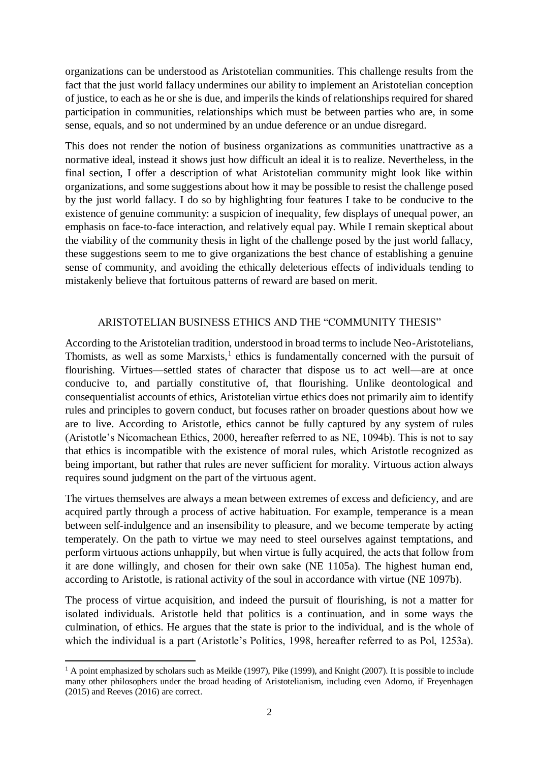organizations can be understood as Aristotelian communities. This challenge results from the fact that the just world fallacy undermines our ability to implement an Aristotelian conception of justice, to each as he or she is due, and imperils the kinds of relationships required for shared participation in communities, relationships which must be between parties who are, in some sense, equals, and so not undermined by an undue deference or an undue disregard.

This does not render the notion of business organizations as communities unattractive as a normative ideal, instead it shows just how difficult an ideal it is to realize. Nevertheless, in the final section, I offer a description of what Aristotelian community might look like within organizations, and some suggestions about how it may be possible to resist the challenge posed by the just world fallacy. I do so by highlighting four features I take to be conducive to the existence of genuine community: a suspicion of inequality, few displays of unequal power, an emphasis on face-to-face interaction, and relatively equal pay. While I remain skeptical about the viability of the community thesis in light of the challenge posed by the just world fallacy, these suggestions seem to me to give organizations the best chance of establishing a genuine sense of community, and avoiding the ethically deleterious effects of individuals tending to mistakenly believe that fortuitous patterns of reward are based on merit.

## ARISTOTELIAN BUSINESS ETHICS AND THE "COMMUNITY THESIS"

According to the Aristotelian tradition, understood in broad terms to include Neo-Aristotelians, Thomists, as well as some Marxists, $<sup>1</sup>$  ethics is fundamentally concerned with the pursuit of</sup> flourishing. Virtues—settled states of character that dispose us to act well—are at once conducive to, and partially constitutive of, that flourishing. Unlike deontological and consequentialist accounts of ethics, Aristotelian virtue ethics does not primarily aim to identify rules and principles to govern conduct, but focuses rather on broader questions about how we are to live. According to Aristotle, ethics cannot be fully captured by any system of rules (Aristotle's Nicomachean Ethics, 2000, hereafter referred to as NE, 1094b). This is not to say that ethics is incompatible with the existence of moral rules, which Aristotle recognized as being important, but rather that rules are never sufficient for morality. Virtuous action always requires sound judgment on the part of the virtuous agent.

The virtues themselves are always a mean between extremes of excess and deficiency, and are acquired partly through a process of active habituation. For example, temperance is a mean between self-indulgence and an insensibility to pleasure, and we become temperate by acting temperately. On the path to virtue we may need to steel ourselves against temptations, and perform virtuous actions unhappily, but when virtue is fully acquired, the acts that follow from it are done willingly, and chosen for their own sake (NE 1105a). The highest human end, according to Aristotle, is rational activity of the soul in accordance with virtue (NE 1097b).

The process of virtue acquisition, and indeed the pursuit of flourishing, is not a matter for isolated individuals. Aristotle held that politics is a continuation, and in some ways the culmination, of ethics. He argues that the state is prior to the individual, and is the whole of which the individual is a part (Aristotle's Politics, 1998, hereafter referred to as Pol, 1253a).

<sup>1</sup>  $1$  A point emphasized by scholars such as Meikle (1997), Pike (1999), and Knight (2007). It is possible to include many other philosophers under the broad heading of Aristotelianism, including even Adorno, if Freyenhagen (2015) and Reeves (2016) are correct.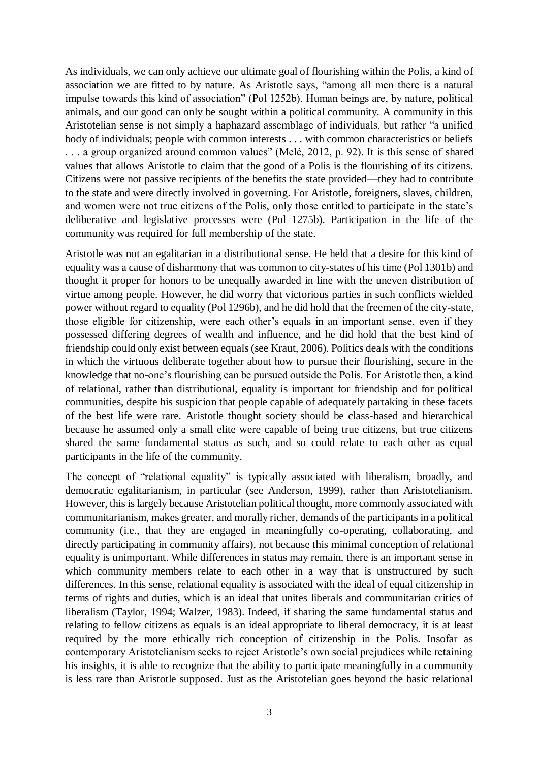As individuals, we can only achieve our ultimate goal of flourishing within the Polis, a kind of association we are fitted to by nature. As Aristotle says, "among all men there is a natural impulse towards this kind of association" (Pol 1252b). Human beings are, by nature, political animals, and our good can only be sought within a political community. A community in this Aristotelian sense is not simply a haphazard assemblage of individuals, but rather "a unified body of individuals; people with common interests . . . with common characteristics or beliefs . . . a group organized around common values" (Melé, 2012, p. 92). It is this sense of shared values that allows Aristotle to claim that the good of a Polis is the flourishing of its citizens. Citizens were not passive recipients of the benefits the state provided—they had to contribute to the state and were directly involved in governing. For Aristotle, foreigners, slaves, children, and women were not true citizens of the Polis, only those entitled to participate in the state's deliberative and legislative processes were (Pol 1275b). Participation in the life of the community was required for full membership of the state.

Aristotle was not an egalitarian in a distributional sense. He held that a desire for this kind of equality was a cause of disharmony that was common to city-states of his time (Pol 1301b) and thought it proper for honors to be unequally awarded in line with the uneven distribution of virtue among people. However, he did worry that victorious parties in such conflicts wielded power without regard to equality (Pol 1296b), and he did hold that the freemen of the city-state, those eligible for citizenship, were each other's equals in an important sense, even if they possessed differing degrees of wealth and influence, and he did hold that the best kind of friendship could only exist between equals (see Kraut, 2006). Politics deals with the conditions in which the virtuous deliberate together about how to pursue their flourishing, secure in the knowledge that no-one's flourishing can be pursued outside the Polis. For Aristotle then, a kind of relational, rather than distributional, equality is important for friendship and for political communities, despite his suspicion that people capable of adequately partaking in these facets of the best life were rare. Aristotle thought society should be class-based and hierarchical because he assumed only a small elite were capable of being true citizens, but true citizens shared the same fundamental status as such, and so could relate to each other as equal participants in the life of the community.

The concept of "relational equality" is typically associated with liberalism, broadly, and democratic egalitarianism, in particular (see Anderson, 1999), rather than Aristotelianism. However, this is largely because Aristotelian political thought, more commonly associated with communitarianism, makes greater, and morally richer, demands of the participants in a political community (i.e., that they are engaged in meaningfully co-operating, collaborating, and directly participating in community affairs), not because this minimal conception of relational equality is unimportant. While differences in status may remain, there is an important sense in which community members relate to each other in a way that is unstructured by such differences. In this sense, relational equality is associated with the ideal of equal citizenship in terms of rights and duties, which is an ideal that unites liberals and communitarian critics of liberalism (Taylor, 1994; Walzer, 1983). Indeed, if sharing the same fundamental status and relating to fellow citizens as equals is an ideal appropriate to liberal democracy, it is at least required by the more ethically rich conception of citizenship in the Polis. Insofar as contemporary Aristotelianism seeks to reject Aristotle's own social prejudices while retaining his insights, it is able to recognize that the ability to participate meaningfully in a community is less rare than Aristotle supposed. Just as the Aristotelian goes beyond the basic relational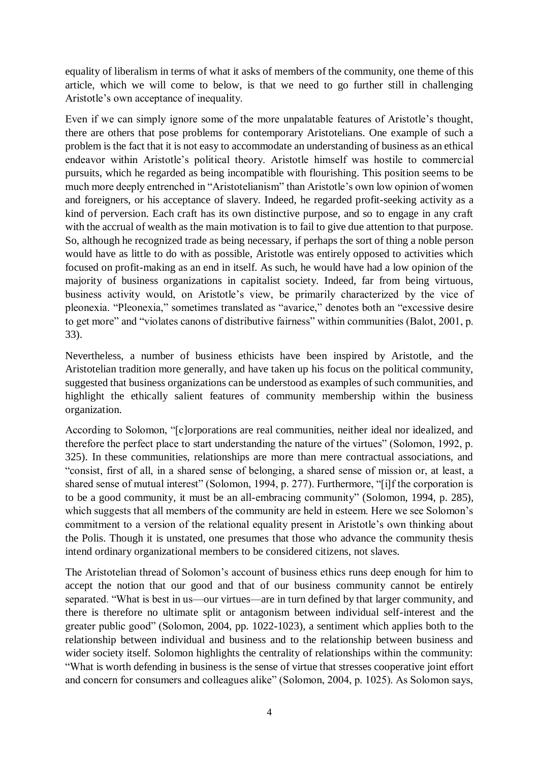equality of liberalism in terms of what it asks of members of the community, one theme of this article, which we will come to below, is that we need to go further still in challenging Aristotle's own acceptance of inequality.

Even if we can simply ignore some of the more unpalatable features of Aristotle's thought, there are others that pose problems for contemporary Aristotelians. One example of such a problem is the fact that it is not easy to accommodate an understanding of business as an ethical endeavor within Aristotle's political theory. Aristotle himself was hostile to commercial pursuits, which he regarded as being incompatible with flourishing. This position seems to be much more deeply entrenched in "Aristotelianism" than Aristotle's own low opinion of women and foreigners, or his acceptance of slavery. Indeed, he regarded profit-seeking activity as a kind of perversion. Each craft has its own distinctive purpose, and so to engage in any craft with the accrual of wealth as the main motivation is to fail to give due attention to that purpose. So, although he recognized trade as being necessary, if perhaps the sort of thing a noble person would have as little to do with as possible, Aristotle was entirely opposed to activities which focused on profit-making as an end in itself. As such, he would have had a low opinion of the majority of business organizations in capitalist society. Indeed, far from being virtuous, business activity would, on Aristotle's view, be primarily characterized by the vice of pleonexia. "Pleonexia," sometimes translated as "avarice," denotes both an "excessive desire to get more" and "violates canons of distributive fairness" within communities (Balot, 2001, p. 33).

Nevertheless, a number of business ethicists have been inspired by Aristotle, and the Aristotelian tradition more generally, and have taken up his focus on the political community, suggested that business organizations can be understood as examples of such communities, and highlight the ethically salient features of community membership within the business organization.

According to Solomon, "[c]orporations are real communities, neither ideal nor idealized, and therefore the perfect place to start understanding the nature of the virtues" (Solomon, 1992, p. 325). In these communities, relationships are more than mere contractual associations, and "consist, first of all, in a shared sense of belonging, a shared sense of mission or, at least, a shared sense of mutual interest" (Solomon, 1994, p. 277). Furthermore, "[i]f the corporation is to be a good community, it must be an all-embracing community" (Solomon, 1994, p. 285), which suggests that all members of the community are held in esteem. Here we see Solomon's commitment to a version of the relational equality present in Aristotle's own thinking about the Polis. Though it is unstated, one presumes that those who advance the community thesis intend ordinary organizational members to be considered citizens, not slaves.

The Aristotelian thread of Solomon's account of business ethics runs deep enough for him to accept the notion that our good and that of our business community cannot be entirely separated. "What is best in us—our virtues—are in turn defined by that larger community, and there is therefore no ultimate split or antagonism between individual self-interest and the greater public good" (Solomon, 2004, pp. 1022-1023), a sentiment which applies both to the relationship between individual and business and to the relationship between business and wider society itself. Solomon highlights the centrality of relationships within the community: "What is worth defending in business is the sense of virtue that stresses cooperative joint effort and concern for consumers and colleagues alike" (Solomon, 2004, p. 1025). As Solomon says,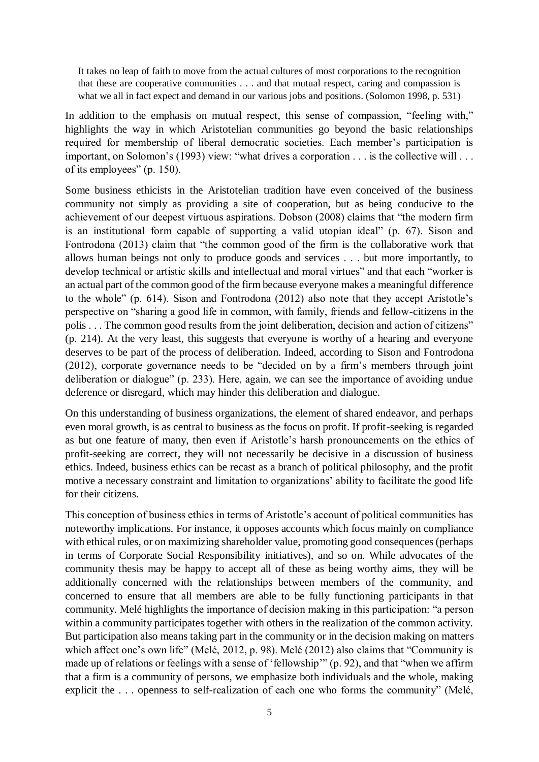It takes no leap of faith to move from the actual cultures of most corporations to the recognition that these are cooperative communities . . . and that mutual respect, caring and compassion is what we all in fact expect and demand in our various jobs and positions. (Solomon 1998, p. 531)

In addition to the emphasis on mutual respect, this sense of compassion, "feeling with," highlights the way in which Aristotelian communities go beyond the basic relationships required for membership of liberal democratic societies. Each member's participation is important, on Solomon's (1993) view: "what drives a corporation . . . is the collective will . . . of its employees" (p. 150).

Some business ethicists in the Aristotelian tradition have even conceived of the business community not simply as providing a site of cooperation, but as being conducive to the achievement of our deepest virtuous aspirations. Dobson (2008) claims that "the modern firm is an institutional form capable of supporting a valid utopian ideal" (p. 67). Sison and Fontrodona (2013) claim that "the common good of the firm is the collaborative work that allows human beings not only to produce goods and services . . . but more importantly, to develop technical or artistic skills and intellectual and moral virtues" and that each "worker is an actual part of the common good of the firm because everyone makes a meaningful difference to the whole" (p. 614). Sison and Fontrodona (2012) also note that they accept Aristotle's perspective on "sharing a good life in common, with family, friends and fellow-citizens in the polis . . . The common good results from the joint deliberation, decision and action of citizens" (p. 214). At the very least, this suggests that everyone is worthy of a hearing and everyone deserves to be part of the process of deliberation. Indeed, according to Sison and Fontrodona (2012), corporate governance needs to be "decided on by a firm's members through joint deliberation or dialogue" (p. 233). Here, again, we can see the importance of avoiding undue deference or disregard, which may hinder this deliberation and dialogue.

On this understanding of business organizations, the element of shared endeavor, and perhaps even moral growth, is as central to business as the focus on profit. If profit-seeking is regarded as but one feature of many, then even if Aristotle's harsh pronouncements on the ethics of profit-seeking are correct, they will not necessarily be decisive in a discussion of business ethics. Indeed, business ethics can be recast as a branch of political philosophy, and the profit motive a necessary constraint and limitation to organizations' ability to facilitate the good life for their citizens.

This conception of business ethics in terms of Aristotle's account of political communities has noteworthy implications. For instance, it opposes accounts which focus mainly on compliance with ethical rules, or on maximizing shareholder value, promoting good consequences (perhaps in terms of Corporate Social Responsibility initiatives), and so on. While advocates of the community thesis may be happy to accept all of these as being worthy aims, they will be additionally concerned with the relationships between members of the community, and concerned to ensure that all members are able to be fully functioning participants in that community. Melé highlights the importance of decision making in this participation: "a person within a community participates together with others in the realization of the common activity. But participation also means taking part in the community or in the decision making on matters which affect one's own life" (Melé, 2012, p. 98). Melé (2012) also claims that "Community is made up of relations or feelings with a sense of 'fellowship'" (p. 92), and that "when we affirm that a firm is a community of persons, we emphasize both individuals and the whole, making explicit the . . . openness to self-realization of each one who forms the community" (Melé,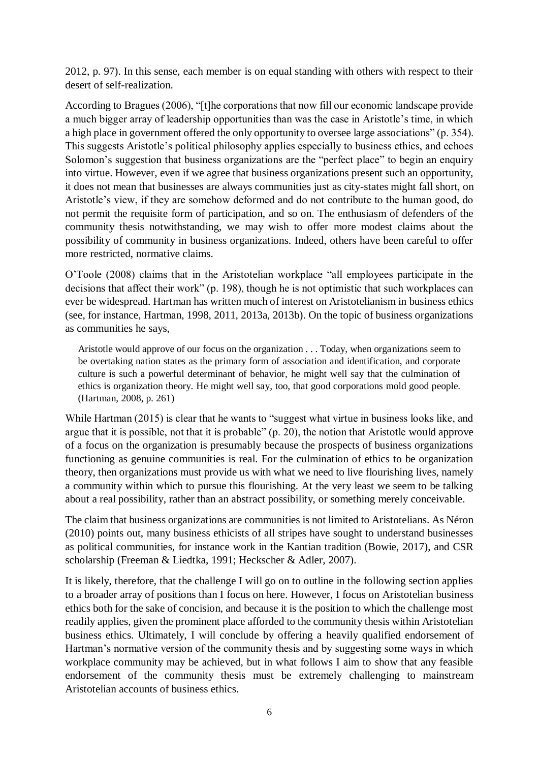2012, p. 97). In this sense, each member is on equal standing with others with respect to their desert of self-realization.

According to Bragues (2006), "[t]he corporations that now fill our economic landscape provide a much bigger array of leadership opportunities than was the case in Aristotle's time, in which a high place in government offered the only opportunity to oversee large associations" (p. 354). This suggests Aristotle's political philosophy applies especially to business ethics, and echoes Solomon's suggestion that business organizations are the "perfect place" to begin an enquiry into virtue. However, even if we agree that business organizations present such an opportunity, it does not mean that businesses are always communities just as city-states might fall short, on Aristotle's view, if they are somehow deformed and do not contribute to the human good, do not permit the requisite form of participation, and so on. The enthusiasm of defenders of the community thesis notwithstanding, we may wish to offer more modest claims about the possibility of community in business organizations. Indeed, others have been careful to offer more restricted, normative claims.

O'Toole (2008) claims that in the Aristotelian workplace "all employees participate in the decisions that affect their work" (p. 198), though he is not optimistic that such workplaces can ever be widespread. Hartman has written much of interest on Aristotelianism in business ethics (see, for instance, Hartman, 1998, 2011, 2013a, 2013b). On the topic of business organizations as communities he says,

Aristotle would approve of our focus on the organization . . . Today, when organizations seem to be overtaking nation states as the primary form of association and identification, and corporate culture is such a powerful determinant of behavior, he might well say that the culmination of ethics is organization theory. He might well say, too, that good corporations mold good people. (Hartman, 2008, p. 261)

While Hartman (2015) is clear that he wants to "suggest what virtue in business looks like, and argue that it is possible, not that it is probable" (p. 20), the notion that Aristotle would approve of a focus on the organization is presumably because the prospects of business organizations functioning as genuine communities is real. For the culmination of ethics to be organization theory, then organizations must provide us with what we need to live flourishing lives, namely a community within which to pursue this flourishing. At the very least we seem to be talking about a real possibility, rather than an abstract possibility, or something merely conceivable.

The claim that business organizations are communities is not limited to Aristotelians. As Néron (2010) points out, many business ethicists of all stripes have sought to understand businesses as political communities, for instance work in the Kantian tradition (Bowie, 2017), and CSR scholarship (Freeman & Liedtka, 1991; Heckscher & Adler, 2007).

It is likely, therefore, that the challenge I will go on to outline in the following section applies to a broader array of positions than I focus on here. However, I focus on Aristotelian business ethics both for the sake of concision, and because it is the position to which the challenge most readily applies, given the prominent place afforded to the community thesis within Aristotelian business ethics. Ultimately, I will conclude by offering a heavily qualified endorsement of Hartman's normative version of the community thesis and by suggesting some ways in which workplace community may be achieved, but in what follows I aim to show that any feasible endorsement of the community thesis must be extremely challenging to mainstream Aristotelian accounts of business ethics.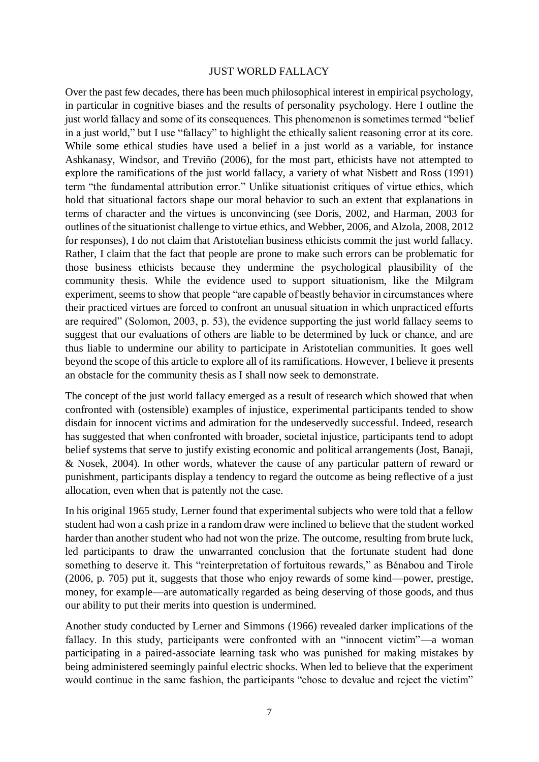#### JUST WORLD FALLACY

Over the past few decades, there has been much philosophical interest in empirical psychology, in particular in cognitive biases and the results of personality psychology. Here I outline the just world fallacy and some of its consequences. This phenomenon is sometimes termed "belief in a just world," but I use "fallacy" to highlight the ethically salient reasoning error at its core. While some ethical studies have used a belief in a just world as a variable, for instance Ashkanasy, Windsor, and Treviño (2006), for the most part, ethicists have not attempted to explore the ramifications of the just world fallacy, a variety of what Nisbett and Ross (1991) term "the fundamental attribution error." Unlike situationist critiques of virtue ethics, which hold that situational factors shape our moral behavior to such an extent that explanations in terms of character and the virtues is unconvincing (see Doris, 2002, and Harman, 2003 for outlines of the situationist challenge to virtue ethics, and Webber, 2006, and Alzola, 2008, 2012 for responses), I do not claim that Aristotelian business ethicists commit the just world fallacy. Rather, I claim that the fact that people are prone to make such errors can be problematic for those business ethicists because they undermine the psychological plausibility of the community thesis. While the evidence used to support situationism, like the Milgram experiment, seems to show that people "are capable of beastly behavior in circumstances where their practiced virtues are forced to confront an unusual situation in which unpracticed efforts are required" (Solomon, 2003, p. 53), the evidence supporting the just world fallacy seems to suggest that our evaluations of others are liable to be determined by luck or chance, and are thus liable to undermine our ability to participate in Aristotelian communities. It goes well beyond the scope of this article to explore all of its ramifications. However, I believe it presents an obstacle for the community thesis as I shall now seek to demonstrate.

The concept of the just world fallacy emerged as a result of research which showed that when confronted with (ostensible) examples of injustice, experimental participants tended to show disdain for innocent victims and admiration for the undeservedly successful. Indeed, research has suggested that when confronted with broader, societal injustice, participants tend to adopt belief systems that serve to justify existing economic and political arrangements (Jost, Banaji, & Nosek, 2004). In other words, whatever the cause of any particular pattern of reward or punishment, participants display a tendency to regard the outcome as being reflective of a just allocation, even when that is patently not the case.

In his original 1965 study, Lerner found that experimental subjects who were told that a fellow student had won a cash prize in a random draw were inclined to believe that the student worked harder than another student who had not won the prize. The outcome, resulting from brute luck, led participants to draw the unwarranted conclusion that the fortunate student had done something to deserve it. This "reinterpretation of fortuitous rewards," as Bénabou and Tirole (2006, p. 705) put it, suggests that those who enjoy rewards of some kind—power, prestige, money, for example—are automatically regarded as being deserving of those goods, and thus our ability to put their merits into question is undermined.

Another study conducted by Lerner and Simmons (1966) revealed darker implications of the fallacy. In this study, participants were confronted with an "innocent victim"—a woman participating in a paired-associate learning task who was punished for making mistakes by being administered seemingly painful electric shocks. When led to believe that the experiment would continue in the same fashion, the participants "chose to devalue and reject the victim"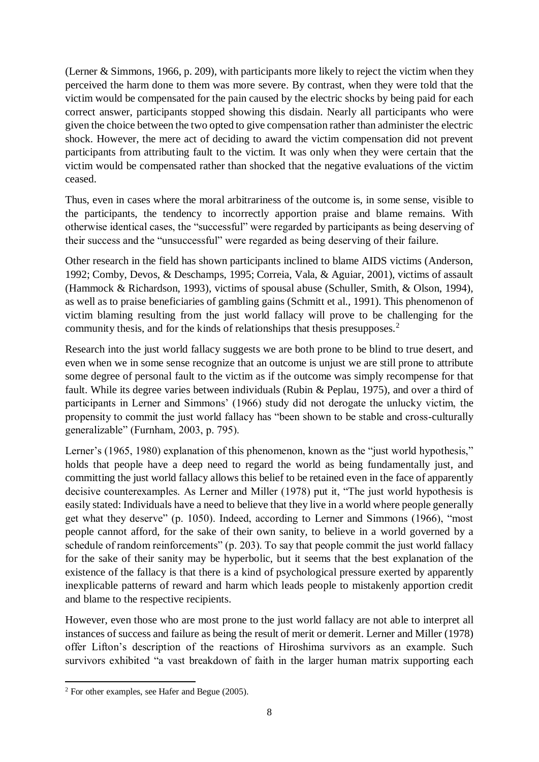(Lerner & Simmons, 1966, p. 209), with participants more likely to reject the victim when they perceived the harm done to them was more severe. By contrast, when they were told that the victim would be compensated for the pain caused by the electric shocks by being paid for each correct answer, participants stopped showing this disdain. Nearly all participants who were given the choice between the two opted to give compensation rather than administer the electric shock. However, the mere act of deciding to award the victim compensation did not prevent participants from attributing fault to the victim. It was only when they were certain that the victim would be compensated rather than shocked that the negative evaluations of the victim ceased.

Thus, even in cases where the moral arbitrariness of the outcome is, in some sense, visible to the participants, the tendency to incorrectly apportion praise and blame remains. With otherwise identical cases, the "successful" were regarded by participants as being deserving of their success and the "unsuccessful" were regarded as being deserving of their failure.

Other research in the field has shown participants inclined to blame AIDS victims (Anderson, 1992; Comby, Devos, & Deschamps, 1995; Correia, Vala, & Aguiar, 2001), victims of assault (Hammock & Richardson, 1993), victims of spousal abuse (Schuller, Smith, & Olson, 1994), as well as to praise beneficiaries of gambling gains (Schmitt et al., 1991). This phenomenon of victim blaming resulting from the just world fallacy will prove to be challenging for the community thesis, and for the kinds of relationships that thesis presupposes.<sup>2</sup>

Research into the just world fallacy suggests we are both prone to be blind to true desert, and even when we in some sense recognize that an outcome is unjust we are still prone to attribute some degree of personal fault to the victim as if the outcome was simply recompense for that fault. While its degree varies between individuals (Rubin & Peplau, 1975), and over a third of participants in Lerner and Simmons' (1966) study did not derogate the unlucky victim, the propensity to commit the just world fallacy has "been shown to be stable and cross-culturally generalizable" (Furnham, 2003, p. 795).

Lerner's (1965, 1980) explanation of this phenomenon, known as the "just world hypothesis," holds that people have a deep need to regard the world as being fundamentally just, and committing the just world fallacy allows this belief to be retained even in the face of apparently decisive counterexamples. As Lerner and Miller (1978) put it, "The just world hypothesis is easily stated: Individuals have a need to believe that they live in a world where people generally get what they deserve" (p. 1050). Indeed, according to Lerner and Simmons (1966), "most people cannot afford, for the sake of their own sanity, to believe in a world governed by a schedule of random reinforcements" (p. 203). To say that people commit the just world fallacy for the sake of their sanity may be hyperbolic, but it seems that the best explanation of the existence of the fallacy is that there is a kind of psychological pressure exerted by apparently inexplicable patterns of reward and harm which leads people to mistakenly apportion credit and blame to the respective recipients.

However, even those who are most prone to the just world fallacy are not able to interpret all instances of success and failure as being the result of merit or demerit. Lerner and Miller (1978) offer Lifton's description of the reactions of Hiroshima survivors as an example. Such survivors exhibited "a vast breakdown of faith in the larger human matrix supporting each

<sup>-</sup> $2$  For other examples, see Hafer and Begue (2005).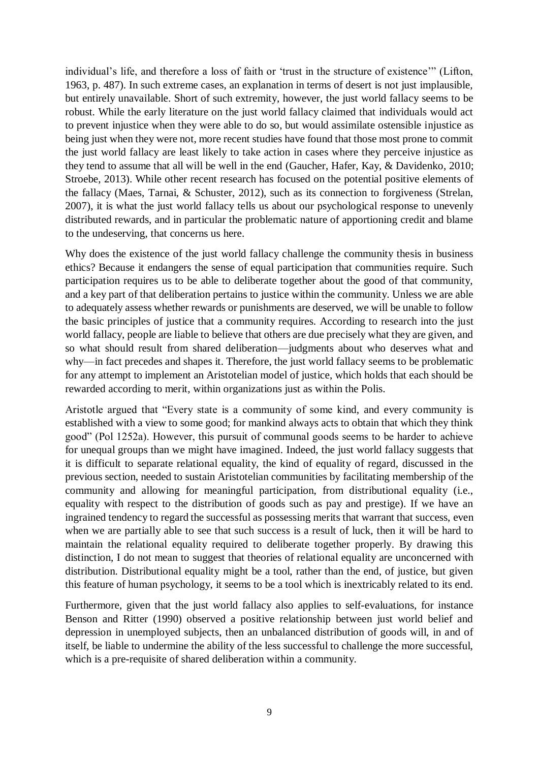individual's life, and therefore a loss of faith or 'trust in the structure of existence'" (Lifton, 1963, p. 487). In such extreme cases, an explanation in terms of desert is not just implausible, but entirely unavailable. Short of such extremity, however, the just world fallacy seems to be robust. While the early literature on the just world fallacy claimed that individuals would act to prevent injustice when they were able to do so, but would assimilate ostensible injustice as being just when they were not, more recent studies have found that those most prone to commit the just world fallacy are least likely to take action in cases where they perceive injustice as they tend to assume that all will be well in the end (Gaucher, Hafer, Kay, & Davidenko, 2010; Stroebe, 2013). While other recent research has focused on the potential positive elements of the fallacy (Maes, Tarnai, & Schuster, 2012), such as its connection to forgiveness (Strelan, 2007), it is what the just world fallacy tells us about our psychological response to unevenly distributed rewards, and in particular the problematic nature of apportioning credit and blame to the undeserving, that concerns us here.

Why does the existence of the just world fallacy challenge the community thesis in business ethics? Because it endangers the sense of equal participation that communities require. Such participation requires us to be able to deliberate together about the good of that community, and a key part of that deliberation pertains to justice within the community. Unless we are able to adequately assess whether rewards or punishments are deserved, we will be unable to follow the basic principles of justice that a community requires. According to research into the just world fallacy, people are liable to believe that others are due precisely what they are given, and so what should result from shared deliberation—judgments about who deserves what and why—in fact precedes and shapes it. Therefore, the just world fallacy seems to be problematic for any attempt to implement an Aristotelian model of justice, which holds that each should be rewarded according to merit, within organizations just as within the Polis.

Aristotle argued that "Every state is a community of some kind, and every community is established with a view to some good; for mankind always acts to obtain that which they think good" (Pol 1252a). However, this pursuit of communal goods seems to be harder to achieve for unequal groups than we might have imagined. Indeed, the just world fallacy suggests that it is difficult to separate relational equality, the kind of equality of regard, discussed in the previous section, needed to sustain Aristotelian communities by facilitating membership of the community and allowing for meaningful participation, from distributional equality (i.e., equality with respect to the distribution of goods such as pay and prestige). If we have an ingrained tendency to regard the successful as possessing merits that warrant that success, even when we are partially able to see that such success is a result of luck, then it will be hard to maintain the relational equality required to deliberate together properly. By drawing this distinction, I do not mean to suggest that theories of relational equality are unconcerned with distribution. Distributional equality might be a tool, rather than the end, of justice, but given this feature of human psychology, it seems to be a tool which is inextricably related to its end.

Furthermore, given that the just world fallacy also applies to self-evaluations, for instance Benson and Ritter (1990) observed a positive relationship between just world belief and depression in unemployed subjects, then an unbalanced distribution of goods will, in and of itself, be liable to undermine the ability of the less successful to challenge the more successful, which is a pre-requisite of shared deliberation within a community.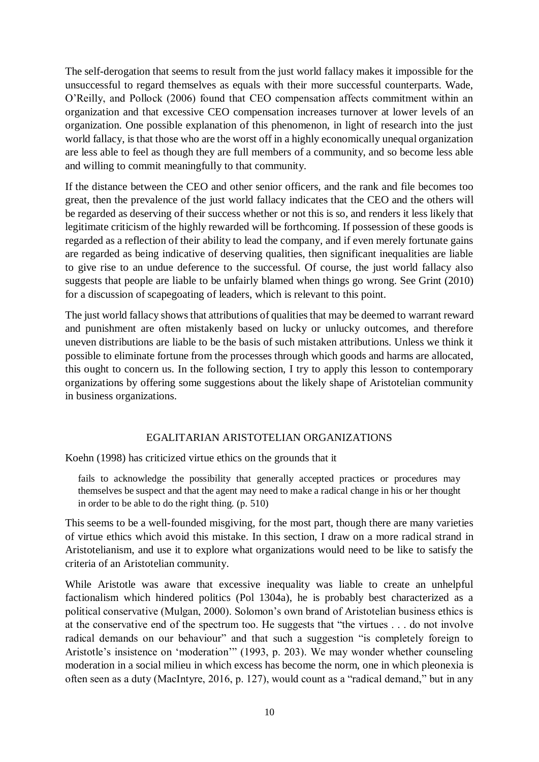The self-derogation that seems to result from the just world fallacy makes it impossible for the unsuccessful to regard themselves as equals with their more successful counterparts. Wade, O'Reilly, and Pollock (2006) found that CEO compensation affects commitment within an organization and that excessive CEO compensation increases turnover at lower levels of an organization. One possible explanation of this phenomenon, in light of research into the just world fallacy, is that those who are the worst off in a highly economically unequal organization are less able to feel as though they are full members of a community, and so become less able and willing to commit meaningfully to that community.

If the distance between the CEO and other senior officers, and the rank and file becomes too great, then the prevalence of the just world fallacy indicates that the CEO and the others will be regarded as deserving of their success whether or not this is so, and renders it less likely that legitimate criticism of the highly rewarded will be forthcoming. If possession of these goods is regarded as a reflection of their ability to lead the company, and if even merely fortunate gains are regarded as being indicative of deserving qualities, then significant inequalities are liable to give rise to an undue deference to the successful. Of course, the just world fallacy also suggests that people are liable to be unfairly blamed when things go wrong. See Grint (2010) for a discussion of scapegoating of leaders, which is relevant to this point.

The just world fallacy shows that attributions of qualities that may be deemed to warrant reward and punishment are often mistakenly based on lucky or unlucky outcomes, and therefore uneven distributions are liable to be the basis of such mistaken attributions. Unless we think it possible to eliminate fortune from the processes through which goods and harms are allocated, this ought to concern us. In the following section, I try to apply this lesson to contemporary organizations by offering some suggestions about the likely shape of Aristotelian community in business organizations.

# EGALITARIAN ARISTOTELIAN ORGANIZATIONS

Koehn (1998) has criticized virtue ethics on the grounds that it

fails to acknowledge the possibility that generally accepted practices or procedures may themselves be suspect and that the agent may need to make a radical change in his or her thought in order to be able to do the right thing. (p. 510)

This seems to be a well-founded misgiving, for the most part, though there are many varieties of virtue ethics which avoid this mistake. In this section, I draw on a more radical strand in Aristotelianism, and use it to explore what organizations would need to be like to satisfy the criteria of an Aristotelian community.

While Aristotle was aware that excessive inequality was liable to create an unhelpful factionalism which hindered politics (Pol 1304a), he is probably best characterized as a political conservative (Mulgan, 2000). Solomon's own brand of Aristotelian business ethics is at the conservative end of the spectrum too. He suggests that "the virtues . . . do not involve radical demands on our behaviour" and that such a suggestion "is completely foreign to Aristotle's insistence on 'moderation'" (1993, p. 203). We may wonder whether counseling moderation in a social milieu in which excess has become the norm, one in which pleonexia is often seen as a duty (MacIntyre, 2016, p. 127), would count as a "radical demand," but in any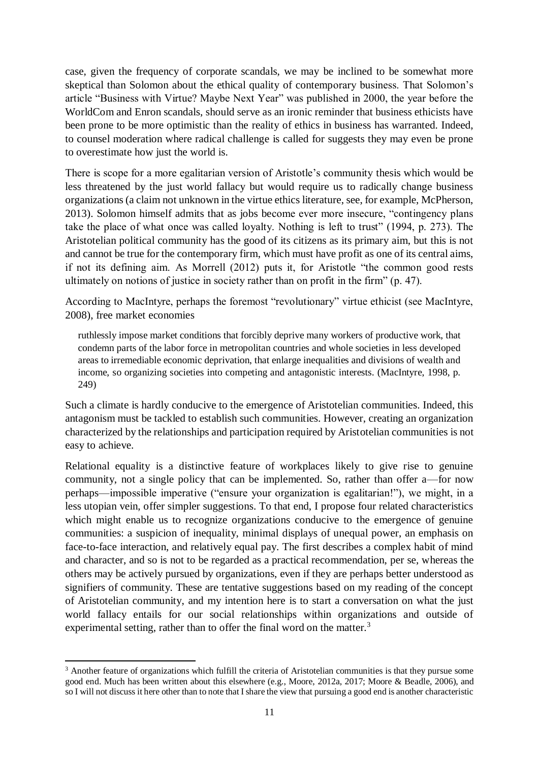case, given the frequency of corporate scandals, we may be inclined to be somewhat more skeptical than Solomon about the ethical quality of contemporary business. That Solomon's article "Business with Virtue? Maybe Next Year" was published in 2000, the year before the WorldCom and Enron scandals, should serve as an ironic reminder that business ethicists have been prone to be more optimistic than the reality of ethics in business has warranted. Indeed, to counsel moderation where radical challenge is called for suggests they may even be prone to overestimate how just the world is.

There is scope for a more egalitarian version of Aristotle's community thesis which would be less threatened by the just world fallacy but would require us to radically change business organizations (a claim not unknown in the virtue ethics literature, see, for example, McPherson, 2013). Solomon himself admits that as jobs become ever more insecure, "contingency plans take the place of what once was called loyalty. Nothing is left to trust" (1994, p. 273). The Aristotelian political community has the good of its citizens as its primary aim, but this is not and cannot be true for the contemporary firm, which must have profit as one of its central aims, if not its defining aim. As Morrell (2012) puts it, for Aristotle "the common good rests ultimately on notions of justice in society rather than on profit in the firm" (p. 47).

According to MacIntyre, perhaps the foremost "revolutionary" virtue ethicist (see MacIntyre, 2008), free market economies

ruthlessly impose market conditions that forcibly deprive many workers of productive work, that condemn parts of the labor force in metropolitan countries and whole societies in less developed areas to irremediable economic deprivation, that enlarge inequalities and divisions of wealth and income, so organizing societies into competing and antagonistic interests. (MacIntyre, 1998, p. 249)

Such a climate is hardly conducive to the emergence of Aristotelian communities. Indeed, this antagonism must be tackled to establish such communities. However, creating an organization characterized by the relationships and participation required by Aristotelian communities is not easy to achieve.

Relational equality is a distinctive feature of workplaces likely to give rise to genuine community, not a single policy that can be implemented. So, rather than offer a—for now perhaps—impossible imperative ("ensure your organization is egalitarian!"), we might, in a less utopian vein, offer simpler suggestions. To that end, I propose four related characteristics which might enable us to recognize organizations conducive to the emergence of genuine communities: a suspicion of inequality, minimal displays of unequal power, an emphasis on face-to-face interaction, and relatively equal pay. The first describes a complex habit of mind and character, and so is not to be regarded as a practical recommendation, per se, whereas the others may be actively pursued by organizations, even if they are perhaps better understood as signifiers of community. These are tentative suggestions based on my reading of the concept of Aristotelian community, and my intention here is to start a conversation on what the just world fallacy entails for our social relationships within organizations and outside of experimental setting, rather than to offer the final word on the matter.<sup>3</sup>

<sup>1</sup> <sup>3</sup> Another feature of organizations which fulfill the criteria of Aristotelian communities is that they pursue some good end. Much has been written about this elsewhere (e.g., Moore, 2012a, 2017; Moore & Beadle, 2006), and so I will not discuss it here other than to note that I share the view that pursuing a good end is another characteristic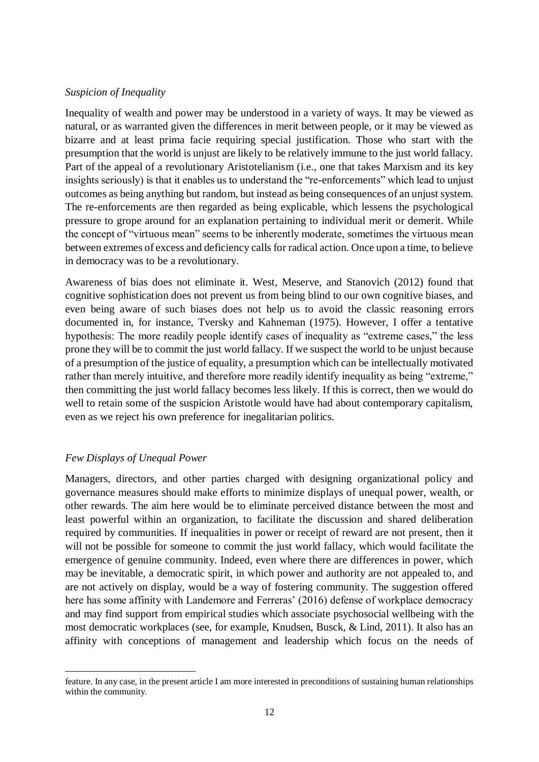# *Suspicion of Inequality*

Inequality of wealth and power may be understood in a variety of ways. It may be viewed as natural, or as warranted given the differences in merit between people, or it may be viewed as bizarre and at least prima facie requiring special justification. Those who start with the presumption that the world is unjust are likely to be relatively immune to the just world fallacy. Part of the appeal of a revolutionary Aristotelianism (i.e., one that takes Marxism and its key insights seriously) is that it enables us to understand the "re-enforcements" which lead to unjust outcomes as being anything but random, but instead as being consequences of an unjust system. The re-enforcements are then regarded as being explicable, which lessens the psychological pressure to grope around for an explanation pertaining to individual merit or demerit. While the concept of "virtuous mean" seems to be inherently moderate, sometimes the virtuous mean between extremes of excess and deficiency calls for radical action. Once upon a time, to believe in democracy was to be a revolutionary.

Awareness of bias does not eliminate it. West, Meserve, and Stanovich (2012) found that cognitive sophistication does not prevent us from being blind to our own cognitive biases, and even being aware of such biases does not help us to avoid the classic reasoning errors documented in, for instance, Tversky and Kahneman (1975). However, I offer a tentative hypothesis: The more readily people identify cases of inequality as "extreme cases," the less prone they will be to commit the just world fallacy. If we suspect the world to be unjust because of a presumption of the justice of equality, a presumption which can be intellectually motivated rather than merely intuitive, and therefore more readily identify inequality as being "extreme," then committing the just world fallacy becomes less likely. If this is correct, then we would do well to retain some of the suspicion Aristotle would have had about contemporary capitalism, even as we reject his own preference for inegalitarian politics.

# *Few Displays of Unequal Power*

Managers, directors, and other parties charged with designing organizational policy and governance measures should make efforts to minimize displays of unequal power, wealth, or other rewards. The aim here would be to eliminate perceived distance between the most and least powerful within an organization, to facilitate the discussion and shared deliberation required by communities. If inequalities in power or receipt of reward are not present, then it will not be possible for someone to commit the just world fallacy, which would facilitate the emergence of genuine community. Indeed, even where there are differences in power, which may be inevitable, a democratic spirit, in which power and authority are not appealed to, and are not actively on display, would be a way of fostering community. The suggestion offered here has some affinity with Landemore and Ferreras' (2016) defense of workplace democracy and may find support from empirical studies which associate psychosocial wellbeing with the most democratic workplaces (see, for example, Knudsen, Busck, & Lind, 2011). It also has an affinity with conceptions of management and leadership which focus on the needs of

**<sup>.</sup>** feature. In any case, in the present article I am more interested in preconditions of sustaining human relationships within the community.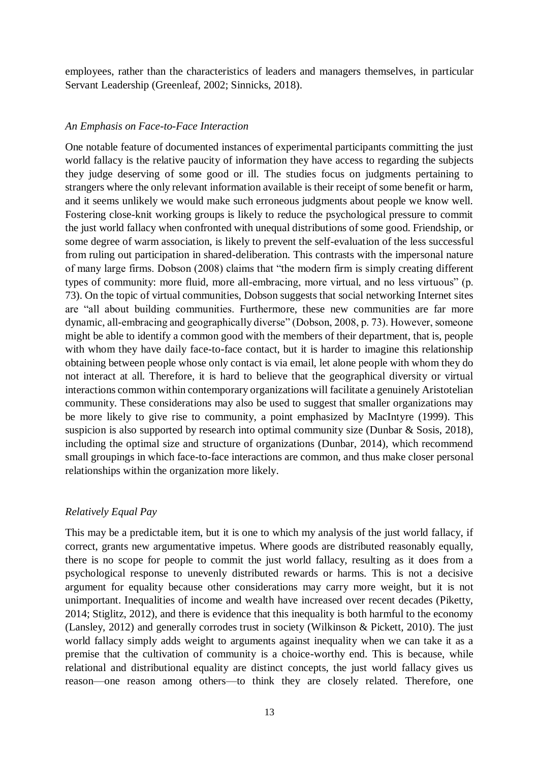employees, rather than the characteristics of leaders and managers themselves, in particular Servant Leadership (Greenleaf, 2002; Sinnicks, 2018).

#### *An Emphasis on Face-to-Face Interaction*

One notable feature of documented instances of experimental participants committing the just world fallacy is the relative paucity of information they have access to regarding the subjects they judge deserving of some good or ill. The studies focus on judgments pertaining to strangers where the only relevant information available is their receipt of some benefit or harm, and it seems unlikely we would make such erroneous judgments about people we know well. Fostering close-knit working groups is likely to reduce the psychological pressure to commit the just world fallacy when confronted with unequal distributions of some good. Friendship, or some degree of warm association, is likely to prevent the self-evaluation of the less successful from ruling out participation in shared-deliberation. This contrasts with the impersonal nature of many large firms. Dobson (2008) claims that "the modern firm is simply creating different types of community: more fluid, more all-embracing, more virtual, and no less virtuous" (p. 73). On the topic of virtual communities, Dobson suggests that social networking Internet sites are "all about building communities. Furthermore, these new communities are far more dynamic, all-embracing and geographically diverse" (Dobson, 2008, p. 73). However, someone might be able to identify a common good with the members of their department, that is, people with whom they have daily face-to-face contact, but it is harder to imagine this relationship obtaining between people whose only contact is via email, let alone people with whom they do not interact at all. Therefore, it is hard to believe that the geographical diversity or virtual interactions common within contemporary organizations will facilitate a genuinely Aristotelian community. These considerations may also be used to suggest that smaller organizations may be more likely to give rise to community, a point emphasized by MacIntyre (1999). This suspicion is also supported by research into optimal community size (Dunbar & Sosis, 2018), including the optimal size and structure of organizations (Dunbar, 2014), which recommend small groupings in which face-to-face interactions are common, and thus make closer personal relationships within the organization more likely.

## *Relatively Equal Pay*

This may be a predictable item, but it is one to which my analysis of the just world fallacy, if correct, grants new argumentative impetus. Where goods are distributed reasonably equally, there is no scope for people to commit the just world fallacy, resulting as it does from a psychological response to unevenly distributed rewards or harms. This is not a decisive argument for equality because other considerations may carry more weight, but it is not unimportant. Inequalities of income and wealth have increased over recent decades (Piketty, 2014; Stiglitz, 2012), and there is evidence that this inequality is both harmful to the economy (Lansley, 2012) and generally corrodes trust in society (Wilkinson & Pickett, 2010). The just world fallacy simply adds weight to arguments against inequality when we can take it as a premise that the cultivation of community is a choice-worthy end. This is because, while relational and distributional equality are distinct concepts, the just world fallacy gives us reason—one reason among others—to think they are closely related. Therefore, one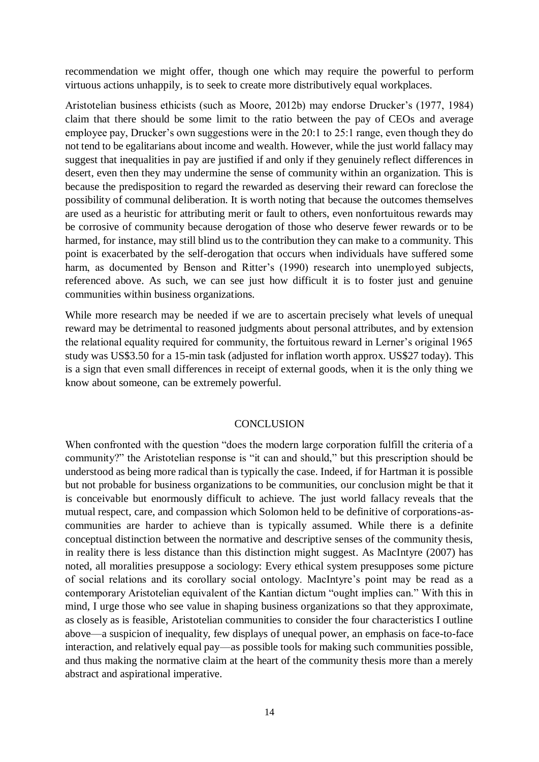recommendation we might offer, though one which may require the powerful to perform virtuous actions unhappily, is to seek to create more distributively equal workplaces.

Aristotelian business ethicists (such as Moore, 2012b) may endorse Drucker's (1977, 1984) claim that there should be some limit to the ratio between the pay of CEOs and average employee pay, Drucker's own suggestions were in the 20:1 to 25:1 range, even though they do not tend to be egalitarians about income and wealth. However, while the just world fallacy may suggest that inequalities in pay are justified if and only if they genuinely reflect differences in desert, even then they may undermine the sense of community within an organization. This is because the predisposition to regard the rewarded as deserving their reward can foreclose the possibility of communal deliberation. It is worth noting that because the outcomes themselves are used as a heuristic for attributing merit or fault to others, even nonfortuitous rewards may be corrosive of community because derogation of those who deserve fewer rewards or to be harmed, for instance, may still blind us to the contribution they can make to a community. This point is exacerbated by the self-derogation that occurs when individuals have suffered some harm, as documented by Benson and Ritter's (1990) research into unemployed subjects, referenced above. As such, we can see just how difficult it is to foster just and genuine communities within business organizations.

While more research may be needed if we are to ascertain precisely what levels of unequal reward may be detrimental to reasoned judgments about personal attributes, and by extension the relational equality required for community, the fortuitous reward in Lerner's original 1965 study was US\$3.50 for a 15-min task (adjusted for inflation worth approx. US\$27 today). This is a sign that even small differences in receipt of external goods, when it is the only thing we know about someone, can be extremely powerful.

## **CONCLUSION**

When confronted with the question "does the modern large corporation fulfill the criteria of a community?" the Aristotelian response is "it can and should," but this prescription should be understood as being more radical than is typically the case. Indeed, if for Hartman it is possible but not probable for business organizations to be communities, our conclusion might be that it is conceivable but enormously difficult to achieve. The just world fallacy reveals that the mutual respect, care, and compassion which Solomon held to be definitive of corporations-ascommunities are harder to achieve than is typically assumed. While there is a definite conceptual distinction between the normative and descriptive senses of the community thesis, in reality there is less distance than this distinction might suggest. As MacIntyre (2007) has noted, all moralities presuppose a sociology: Every ethical system presupposes some picture of social relations and its corollary social ontology. MacIntyre's point may be read as a contemporary Aristotelian equivalent of the Kantian dictum "ought implies can." With this in mind, I urge those who see value in shaping business organizations so that they approximate, as closely as is feasible, Aristotelian communities to consider the four characteristics I outline above—a suspicion of inequality, few displays of unequal power, an emphasis on face-to-face interaction, and relatively equal pay—as possible tools for making such communities possible, and thus making the normative claim at the heart of the community thesis more than a merely abstract and aspirational imperative.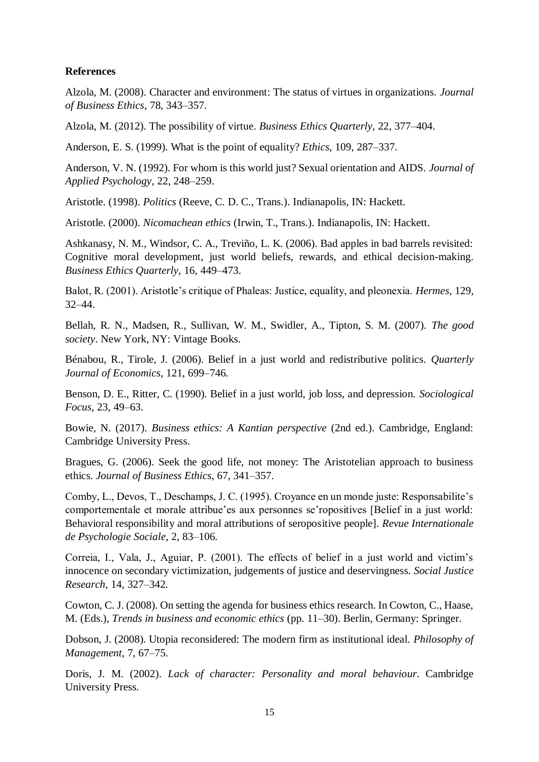## **References**

Alzola, M. (2008). Character and environment: The status of virtues in organizations. *Journal of Business Ethics*, 78, 343–357.

Alzola, M. (2012). The possibility of virtue. *Business Ethics Quarterly*, 22, 377–404.

Anderson, E. S. (1999). What is the point of equality? *Ethics*, 109, 287–337.

Anderson, V. N. (1992). For whom is this world just? Sexual orientation and AIDS. *Journal of Applied Psychology*, 22, 248–259.

Aristotle. (1998). *Politics* (Reeve, C. D. C., Trans.). Indianapolis, IN: Hackett.

Aristotle. (2000). *Nicomachean ethics* (Irwin, T., Trans.). Indianapolis, IN: Hackett.

Ashkanasy, N. M., Windsor, C. A., Treviño, L. K. (2006). Bad apples in bad barrels revisited: Cognitive moral development, just world beliefs, rewards, and ethical decision-making. *Business Ethics Quarterly*, 16, 449–473.

Balot, R. (2001). Aristotle's critique of Phaleas: Justice, equality, and pleonexia. *Hermes*, 129, 32–44.

Bellah, R. N., Madsen, R., Sullivan, W. M., Swidler, A., Tipton, S. M. (2007). *The good society*. New York, NY: Vintage Books.

Bénabou, R., Tirole, J. (2006). Belief in a just world and redistributive politics. *Quarterly Journal of Economics*, 121, 699–746.

Benson, D. E., Ritter, C. (1990). Belief in a just world, job loss, and depression. *Sociological Focus*, 23, 49–63.

Bowie, N. (2017). *Business ethics: A Kantian perspective* (2nd ed.). Cambridge, England: Cambridge University Press.

Bragues, G. (2006). Seek the good life, not money: The Aristotelian approach to business ethics. *Journal of Business Ethics*, 67, 341–357.

Comby, L., Devos, T., Deschamps, J. C. (1995). Croyance en un monde juste: Responsabilite's comportementale et morale attribue'es aux personnes se'ropositives [Belief in a just world: Behavioral responsibility and moral attributions of seropositive people]. *Revue Internationale de Psychologie Sociale*, 2, 83–106.

Correia, I., Vala, J., Aguiar, P. (2001). The effects of belief in a just world and victim's innocence on secondary victimization, judgements of justice and deservingness. *Social Justice Research*, 14, 327–342.

Cowton, C. J. (2008). On setting the agenda for business ethics research. In Cowton, C., Haase, M. (Eds.), *Trends in business and economic ethics* (pp. 11–30). Berlin, Germany: Springer.

Dobson, J. (2008). Utopia reconsidered: The modern firm as institutional ideal. *Philosophy of Management*, 7, 67–75.

Doris, J. M. (2002). *Lack of character: Personality and moral behaviour*. Cambridge University Press.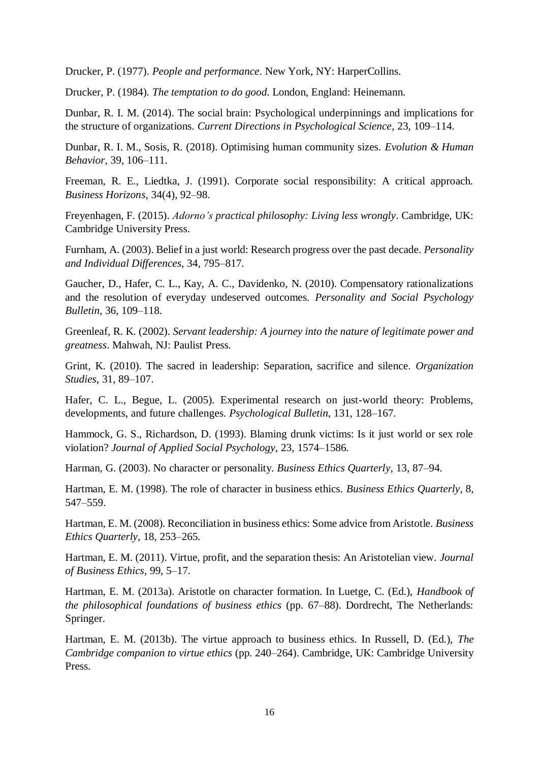Drucker, P. (1977). *People and performance*. New York, NY: HarperCollins.

Drucker, P. (1984). *The temptation to do good*. London, England: Heinemann.

Dunbar, R. I. M. (2014). The social brain: Psychological underpinnings and implications for the structure of organizations. *Current Directions in Psychological Science*, 23, 109–114.

Dunbar, R. I. M., Sosis, R. (2018). Optimising human community sizes. *Evolution & Human Behavior*, 39, 106–111.

Freeman, R. E., Liedtka, J. (1991). Corporate social responsibility: A critical approach. *Business Horizons*, 34(4), 92–98.

Freyenhagen, F. (2015). *Adorno's practical philosophy: Living less wrongly*. Cambridge, UK: Cambridge University Press.

Furnham, A. (2003). Belief in a just world: Research progress over the past decade. *Personality and Individual Differences*, 34, 795–817.

Gaucher, D., Hafer, C. L., Kay, A. C., Davidenko, N. (2010). Compensatory rationalizations and the resolution of everyday undeserved outcomes. *Personality and Social Psychology Bulletin*, 36, 109–118.

Greenleaf, R. K. (2002). *Servant leadership: A journey into the nature of legitimate power and greatness*. Mahwah, NJ: Paulist Press.

Grint, K. (2010). The sacred in leadership: Separation, sacrifice and silence. *Organization Studies*, 31, 89–107.

Hafer, C. L., Begue, L. (2005). Experimental research on just-world theory: Problems, developments, and future challenges. *Psychological Bulletin*, 131, 128–167.

Hammock, G. S., Richardson, D. (1993). Blaming drunk victims: Is it just world or sex role violation? *Journal of Applied Social Psychology*, 23, 1574–1586.

Harman, G. (2003). No character or personality. *Business Ethics Quarterly*, 13, 87–94.

Hartman, E. M. (1998). The role of character in business ethics. *Business Ethics Quarterly*, 8, 547–559.

Hartman, E. M. (2008). Reconciliation in business ethics: Some advice from Aristotle. *Business Ethics Quarterly*, 18, 253–265.

Hartman, E. M. (2011). Virtue, profit, and the separation thesis: An Aristotelian view. *Journal of Business Ethics*, 99, 5–17.

Hartman, E. M. (2013a). Aristotle on character formation. In Luetge, C. (Ed.), *Handbook of the philosophical foundations of business ethics* (pp. 67–88). Dordrecht, The Netherlands: Springer.

Hartman, E. M. (2013b). The virtue approach to business ethics. In Russell, D. (Ed.), *The Cambridge companion to virtue ethics* (pp. 240–264). Cambridge, UK: Cambridge University Press.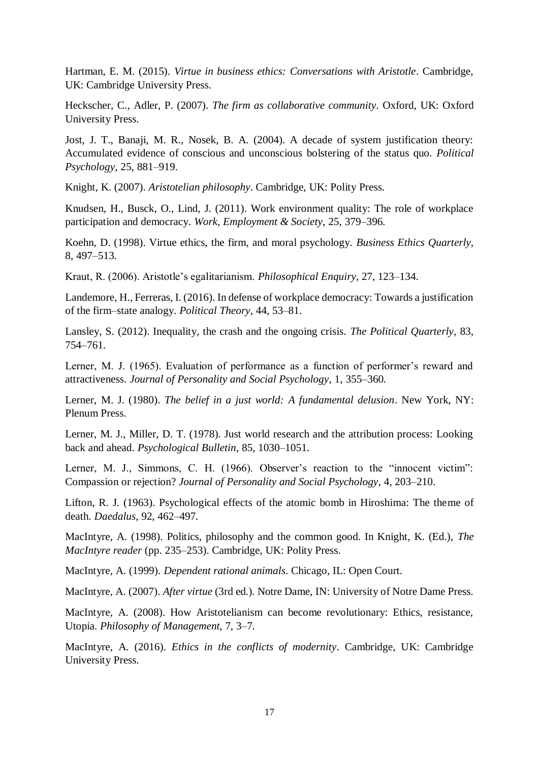Hartman, E. M. (2015). *Virtue in business ethics: Conversations with Aristotle*. Cambridge, UK: Cambridge University Press.

Heckscher, C., Adler, P. (2007). *The firm as collaborative community*. Oxford, UK: Oxford University Press.

Jost, J. T., Banaji, M. R., Nosek, B. A. (2004). A decade of system justification theory: Accumulated evidence of conscious and unconscious bolstering of the status quo. *Political Psychology*, 25, 881–919.

Knight, K. (2007). *Aristotelian philosophy*. Cambridge, UK: Polity Press.

Knudsen, H., Busck, O., Lind, J. (2011). Work environment quality: The role of workplace participation and democracy. *Work, Employment & Society*, 25, 379–396.

Koehn, D. (1998). Virtue ethics, the firm, and moral psychology. *Business Ethics Quarterly*, 8, 497–513.

Kraut, R. (2006). Aristotle's egalitarianism. *Philosophical Enquiry*, 27, 123–134.

Landemore, H., Ferreras, I. (2016). In defense of workplace democracy: Towards a justification of the firm–state analogy. *Political Theory*, 44, 53–81.

Lansley, S. (2012). Inequality, the crash and the ongoing crisis. *The Political Quarterly*, 83, 754–761.

Lerner, M. J. (1965). Evaluation of performance as a function of performer's reward and attractiveness. *Journal of Personality and Social Psychology*, 1, 355–360.

Lerner, M. J. (1980). *The belief in a just world: A fundamental delusion*. New York, NY: Plenum Press.

Lerner, M. J., Miller, D. T. (1978). Just world research and the attribution process: Looking back and ahead. *Psychological Bulletin*, 85, 1030–1051.

Lerner, M. J., Simmons, C. H. (1966). Observer's reaction to the "innocent victim": Compassion or rejection? *Journal of Personality and Social Psychology*, 4, 203–210.

Lifton, R. J. (1963). Psychological effects of the atomic bomb in Hiroshima: The theme of death. *Daedalus*, 92, 462–497.

MacIntyre, A. (1998). Politics, philosophy and the common good. In Knight, K. (Ed.), *The MacIntyre reader* (pp. 235–253). Cambridge, UK: Polity Press.

MacIntyre, A. (1999). *Dependent rational animals*. Chicago, IL: Open Court.

MacIntyre, A. (2007). *After virtue* (3rd ed.). Notre Dame, IN: University of Notre Dame Press.

MacIntyre, A. (2008). How Aristotelianism can become revolutionary: Ethics, resistance, Utopia. *Philosophy of Management*, 7, 3–7.

MacIntyre, A. (2016). *Ethics in the conflicts of modernity*. Cambridge, UK: Cambridge University Press.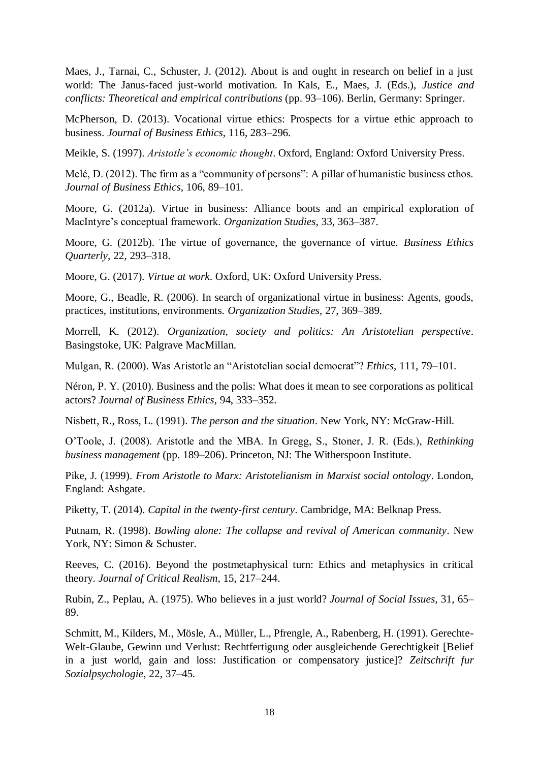Maes, J., Tarnai, C., Schuster, J. (2012). About is and ought in research on belief in a just world: The Janus-faced just-world motivation. In Kals, E., Maes, J. (Eds.), *Justice and conflicts: Theoretical and empirical contributions* (pp. 93–106). Berlin, Germany: Springer.

McPherson, D. (2013). Vocational virtue ethics: Prospects for a virtue ethic approach to business. *Journal of Business Ethics*, 116, 283–296.

Meikle, S. (1997). *Aristotle's economic thought*. Oxford, England: Oxford University Press.

Melé, D. (2012). The firm as a "community of persons": A pillar of humanistic business ethos. *Journal of Business Ethics*, 106, 89–101.

Moore, G. (2012a). Virtue in business: Alliance boots and an empirical exploration of MacIntyre's conceptual framework. *Organization Studies*, 33, 363–387.

Moore, G. (2012b). The virtue of governance, the governance of virtue. *Business Ethics Quarterly*, 22, 293–318.

Moore, G. (2017). *Virtue at work*. Oxford, UK: Oxford University Press.

Moore, G., Beadle, R. (2006). In search of organizational virtue in business: Agents, goods, practices, institutions, environments. *Organization Studies*, 27, 369–389.

Morrell, K. (2012). *Organization, society and politics: An Aristotelian perspective*. Basingstoke, UK: Palgrave MacMillan.

Mulgan, R. (2000). Was Aristotle an "Aristotelian social democrat"? *Ethics*, 111, 79–101.

Néron, P. Y. (2010). Business and the polis: What does it mean to see corporations as political actors? *Journal of Business Ethics*, 94, 333–352.

Nisbett, R., Ross, L. (1991). *The person and the situation*. New York, NY: McGraw-Hill.

O'Toole, J. (2008). Aristotle and the MBA. In Gregg, S., Stoner, J. R. (Eds.), *Rethinking business management* (pp. 189–206). Princeton, NJ: The Witherspoon Institute.

Pike, J. (1999). *From Aristotle to Marx: Aristotelianism in Marxist social ontology*. London, England: Ashgate.

Piketty, T. (2014). *Capital in the twenty-first century*. Cambridge, MA: Belknap Press.

Putnam, R. (1998). *Bowling alone: The collapse and revival of American community*. New York, NY: Simon & Schuster.

Reeves, C. (2016). Beyond the postmetaphysical turn: Ethics and metaphysics in critical theory. *Journal of Critical Realism*, 15, 217–244.

Rubin, Z., Peplau, A. (1975). Who believes in a just world? *Journal of Social Issues*, 31, 65– 89.

Schmitt, M., Kilders, M., Mösle, A., Müller, L., Pfrengle, A., Rabenberg, H. (1991). Gerechte-Welt-Glaube, Gewinn und Verlust: Rechtfertigung oder ausgleichende Gerechtigkeit [Belief in a just world, gain and loss: Justification or compensatory justice]? *Zeitschrift fur Sozialpsychologie*, 22, 37–45.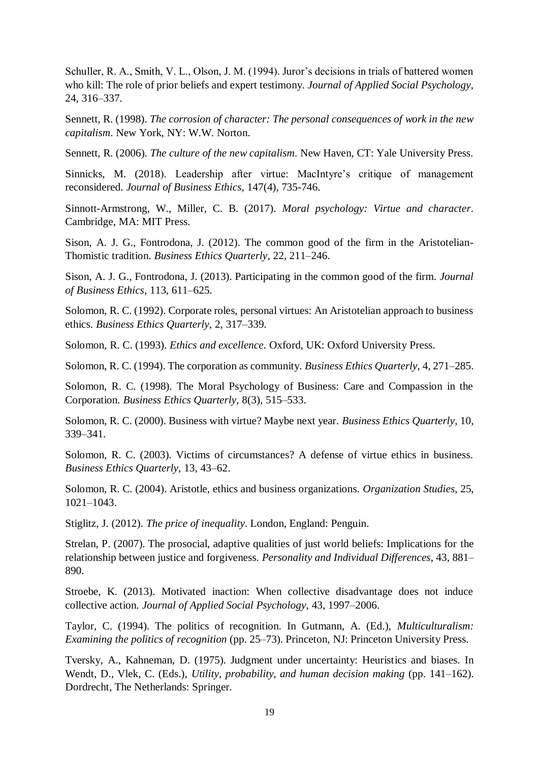Schuller, R. A., Smith, V. L., Olson, J. M. (1994). Juror's decisions in trials of battered women who kill: The role of prior beliefs and expert testimony. *Journal of Applied Social Psychology*, 24, 316–337.

Sennett, R. (1998). *The corrosion of character: The personal consequences of work in the new capitalism*. New York, NY: W.W. Norton.

Sennett, R. (2006). *The culture of the new capitalism*. New Haven, CT: Yale University Press.

Sinnicks, M. (2018). Leadership after virtue: MacIntyre's critique of management reconsidered. *Journal of Business Ethics*, 147(4), 735-746.

Sinnott-Armstrong, W., Miller, C. B. (2017). *Moral psychology: Virtue and character*. Cambridge, MA: MIT Press.

Sison, A. J. G., Fontrodona, J. (2012). The common good of the firm in the Aristotelian-Thomistic tradition. *Business Ethics Quarterly*, 22, 211–246.

Sison, A. J. G., Fontrodona, J. (2013). Participating in the common good of the firm. *Journal of Business Ethics*, 113, 611–625.

Solomon, R. C. (1992). Corporate roles, personal virtues: An Aristotelian approach to business ethics. *Business Ethics Quarterly*, 2, 317–339.

Solomon, R. C. (1993). *Ethics and excellence*. Oxford, UK: Oxford University Press.

Solomon, R. C. (1994). The corporation as community. *Business Ethics Quarterly*, 4, 271–285.

Solomon, R. C. (1998). The Moral Psychology of Business: Care and Compassion in the Corporation. *Business Ethics Quarterly*, 8(3), 515–533.

Solomon, R. C. (2000). Business with virtue? Maybe next year. *Business Ethics Quarterly*, 10, 339–341.

Solomon, R. C. (2003). Victims of circumstances? A defense of virtue ethics in business. *Business Ethics Quarterly*, 13, 43–62.

Solomon, R. C. (2004). Aristotle, ethics and business organizations. *Organization Studies*, 25, 1021–1043.

Stiglitz, J. (2012). *The price of inequality*. London, England: Penguin.

Strelan, P. (2007). The prosocial, adaptive qualities of just world beliefs: Implications for the relationship between justice and forgiveness. *Personality and Individual Differences*, 43, 881– 890.

Stroebe, K. (2013). Motivated inaction: When collective disadvantage does not induce collective action. *Journal of Applied Social Psychology*, 43, 1997–2006.

Taylor, C. (1994). The politics of recognition. In Gutmann, A. (Ed.), *Multiculturalism: Examining the politics of recognition* (pp. 25–73). Princeton, NJ: Princeton University Press.

Tversky, A., Kahneman, D. (1975). Judgment under uncertainty: Heuristics and biases. In Wendt, D., Vlek, C. (Eds.), *Utility, probability, and human decision making* (pp. 141–162). Dordrecht, The Netherlands: Springer.